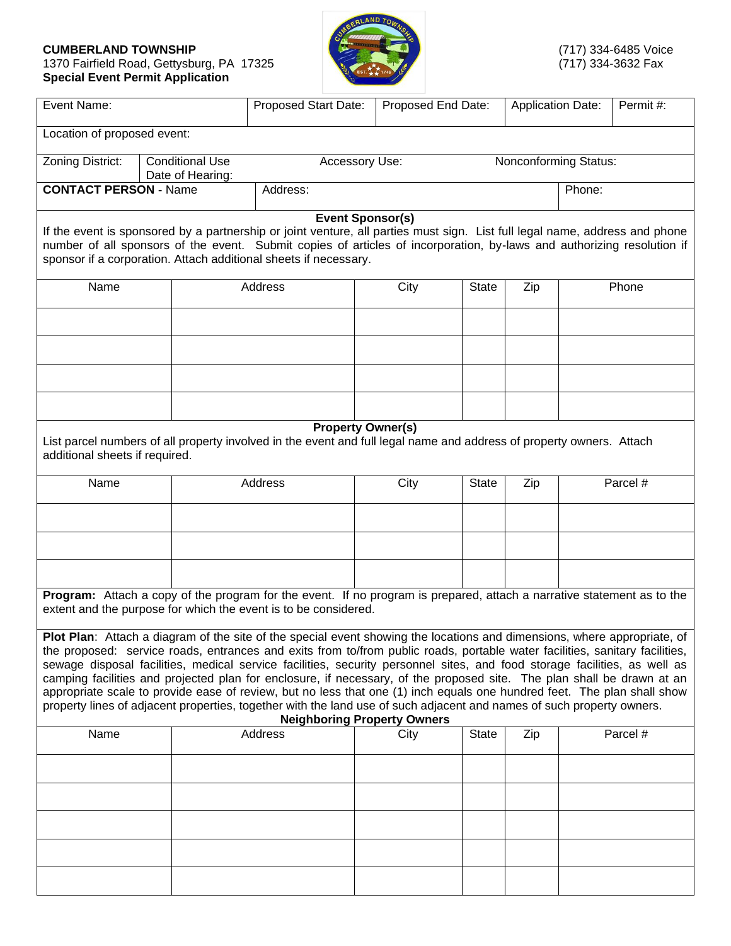## **CUMBERLAND TOWNSHIP** (717) 334-6485 Voice<br>1370 Fairfield Road, Gettysburg, PA 17325 (717) 334-3632 Fax 1370 Fairfield Road, Gettysburg, PA 17325 (717) 334-3632 Fax **Special Event Permit Application**



| Event Name:                                                                                                                                                                        |                                            | Proposed Start Date:<br>Proposed End Date:                                                                                                                                                                                                                                                                                                                                                                                                                                                                                                                                                                                                                                                                                                                                                               |                       |              | Permit#:<br><b>Application Date:</b> |       |          |  |  |
|------------------------------------------------------------------------------------------------------------------------------------------------------------------------------------|--------------------------------------------|----------------------------------------------------------------------------------------------------------------------------------------------------------------------------------------------------------------------------------------------------------------------------------------------------------------------------------------------------------------------------------------------------------------------------------------------------------------------------------------------------------------------------------------------------------------------------------------------------------------------------------------------------------------------------------------------------------------------------------------------------------------------------------------------------------|-----------------------|--------------|--------------------------------------|-------|----------|--|--|
| Location of proposed event:                                                                                                                                                        |                                            |                                                                                                                                                                                                                                                                                                                                                                                                                                                                                                                                                                                                                                                                                                                                                                                                          |                       |              |                                      |       |          |  |  |
| Zoning District:                                                                                                                                                                   | <b>Conditional Use</b><br>Date of Hearing: | Accessory Use:                                                                                                                                                                                                                                                                                                                                                                                                                                                                                                                                                                                                                                                                                                                                                                                           | Nonconforming Status: |              |                                      |       |          |  |  |
| <b>CONTACT PERSON - Name</b>                                                                                                                                                       |                                            | Address:                                                                                                                                                                                                                                                                                                                                                                                                                                                                                                                                                                                                                                                                                                                                                                                                 |                       |              |                                      |       | Phone:   |  |  |
|                                                                                                                                                                                    |                                            | <b>Event Sponsor(s)</b>                                                                                                                                                                                                                                                                                                                                                                                                                                                                                                                                                                                                                                                                                                                                                                                  |                       |              |                                      |       |          |  |  |
|                                                                                                                                                                                    |                                            | If the event is sponsored by a partnership or joint venture, all parties must sign. List full legal name, address and phone<br>number of all sponsors of the event. Submit copies of articles of incorporation, by-laws and authorizing resolution if<br>sponsor if a corporation. Attach additional sheets if necessary.                                                                                                                                                                                                                                                                                                                                                                                                                                                                                |                       |              |                                      |       |          |  |  |
| Name                                                                                                                                                                               |                                            | Address<br>City                                                                                                                                                                                                                                                                                                                                                                                                                                                                                                                                                                                                                                                                                                                                                                                          |                       | <b>State</b> | Zip                                  | Phone |          |  |  |
|                                                                                                                                                                                    |                                            |                                                                                                                                                                                                                                                                                                                                                                                                                                                                                                                                                                                                                                                                                                                                                                                                          |                       |              |                                      |       |          |  |  |
|                                                                                                                                                                                    |                                            |                                                                                                                                                                                                                                                                                                                                                                                                                                                                                                                                                                                                                                                                                                                                                                                                          |                       |              |                                      |       |          |  |  |
|                                                                                                                                                                                    |                                            |                                                                                                                                                                                                                                                                                                                                                                                                                                                                                                                                                                                                                                                                                                                                                                                                          |                       |              |                                      |       |          |  |  |
|                                                                                                                                                                                    |                                            |                                                                                                                                                                                                                                                                                                                                                                                                                                                                                                                                                                                                                                                                                                                                                                                                          |                       |              |                                      |       |          |  |  |
| <b>Property Owner(s)</b><br>List parcel numbers of all property involved in the event and full legal name and address of property owners. Attach<br>additional sheets if required. |                                            |                                                                                                                                                                                                                                                                                                                                                                                                                                                                                                                                                                                                                                                                                                                                                                                                          |                       |              |                                      |       |          |  |  |
| Name                                                                                                                                                                               |                                            | Address                                                                                                                                                                                                                                                                                                                                                                                                                                                                                                                                                                                                                                                                                                                                                                                                  | City                  | <b>State</b> | Zip                                  |       | Parcel # |  |  |
|                                                                                                                                                                                    |                                            |                                                                                                                                                                                                                                                                                                                                                                                                                                                                                                                                                                                                                                                                                                                                                                                                          |                       |              |                                      |       |          |  |  |
|                                                                                                                                                                                    |                                            |                                                                                                                                                                                                                                                                                                                                                                                                                                                                                                                                                                                                                                                                                                                                                                                                          |                       |              |                                      |       |          |  |  |
|                                                                                                                                                                                    |                                            |                                                                                                                                                                                                                                                                                                                                                                                                                                                                                                                                                                                                                                                                                                                                                                                                          |                       |              |                                      |       |          |  |  |
|                                                                                                                                                                                    |                                            | Program: Attach a copy of the program for the event. If no program is prepared, attach a narrative statement as to the<br>extent and the purpose for which the event is to be considered.                                                                                                                                                                                                                                                                                                                                                                                                                                                                                                                                                                                                                |                       |              |                                      |       |          |  |  |
|                                                                                                                                                                                    |                                            | Plot Plan: Attach a diagram of the site of the special event showing the locations and dimensions, where appropriate, of<br>the proposed: service roads, entrances and exits from to/from public roads, portable water facilities, sanitary facilities,<br>sewage disposal facilities, medical service facilities, security personnel sites, and food storage facilities, as well as<br>camping facilities and projected plan for enclosure, if necessary, of the proposed site. The plan shall be drawn at an<br>appropriate scale to provide ease of review, but no less that one (1) inch equals one hundred feet. The plan shall show<br>property lines of adjacent properties, together with the land use of such adjacent and names of such property owners.<br><b>Neighboring Property Owners</b> |                       |              |                                      |       |          |  |  |
| Name                                                                                                                                                                               |                                            | Address                                                                                                                                                                                                                                                                                                                                                                                                                                                                                                                                                                                                                                                                                                                                                                                                  | City                  | <b>State</b> | Zip                                  |       | Parcel # |  |  |
|                                                                                                                                                                                    |                                            |                                                                                                                                                                                                                                                                                                                                                                                                                                                                                                                                                                                                                                                                                                                                                                                                          |                       |              |                                      |       |          |  |  |
|                                                                                                                                                                                    |                                            |                                                                                                                                                                                                                                                                                                                                                                                                                                                                                                                                                                                                                                                                                                                                                                                                          |                       |              |                                      |       |          |  |  |
|                                                                                                                                                                                    |                                            |                                                                                                                                                                                                                                                                                                                                                                                                                                                                                                                                                                                                                                                                                                                                                                                                          |                       |              |                                      |       |          |  |  |
|                                                                                                                                                                                    |                                            |                                                                                                                                                                                                                                                                                                                                                                                                                                                                                                                                                                                                                                                                                                                                                                                                          |                       |              |                                      |       |          |  |  |
|                                                                                                                                                                                    |                                            |                                                                                                                                                                                                                                                                                                                                                                                                                                                                                                                                                                                                                                                                                                                                                                                                          |                       |              |                                      |       |          |  |  |